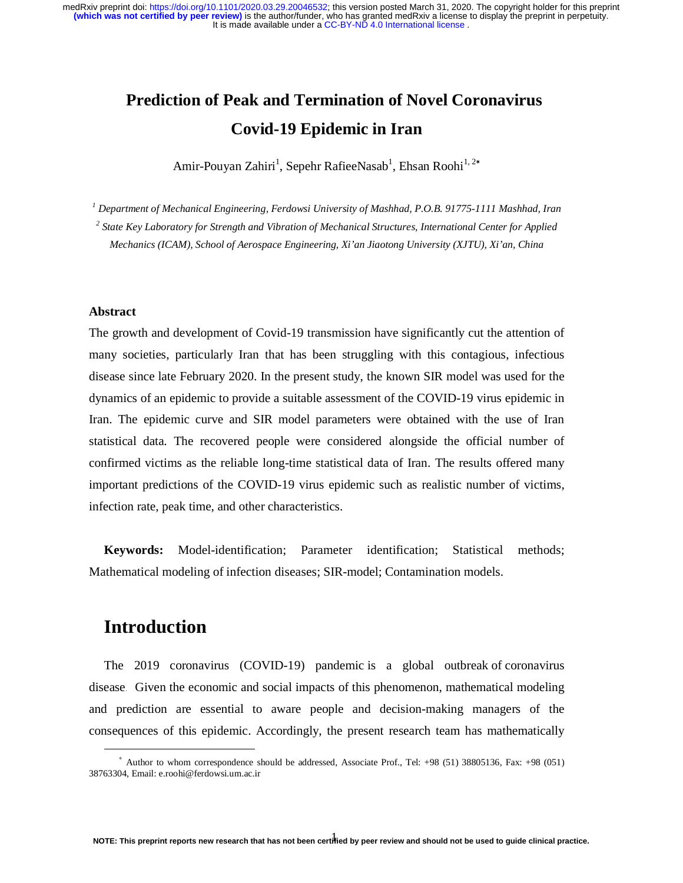# **Prediction of Peak and Termination of Novel Coronavirus Covid-19 Epidemic in Iran**

Amir-Pouyan Zahiri<sup>1</sup>, Sepehr RafieeNasab<sup>1</sup>, Ehsan Roohi<sup>1, 2</sup>\*

*1 Department of Mechanical Engineering, Ferdowsi University of Mashhad, P.O.B. 91775-1111 Mashhad, Iran* 

*2 State Key Laboratory for Strength and Vibration of Mechanical Structures, International Center for Applied Mechanics (ICAM), School of Aerospace Engineering, Xi'an Jiaotong University (XJTU), Xi'an, China*

### **Abstract**

The growth and development of Covid-19 transmission have significantly cut the attention of many societies, particularly Iran that has been struggling with this contagious, infectious disease since late February 2020. In the present study, the known SIR model was used for the dynamics of an epidemic to provide a suitable assessment of the COVID-19 virus epidemic in Iran. The epidemic curve and SIR model parameters were obtained with the use of Iran statistical data. The recovered people were considered alongside the official number of confirmed victims as the reliable long-time statistical data of Iran. The results offered many important predictions of the COVID-19 virus epidemic such as realistic number of victims, infection rate, peak time, and other characteristics.

**Keywords:** Model-identification; Parameter identification; Statistical methods; Mathematical modeling of infection diseases; SIR-model; Contamination models.

## **Introduction**

-

The 2019 coronavirus (COVID-19) pandemic is a global outbreak of coronavirus disease. Given the economic and social impacts of this phenomenon, mathematical modeling and prediction are essential to aware people and decision-making managers of the consequences of this epidemic. Accordingly, the present research team has mathematically

<sup>∗</sup> Author to whom correspondence should be addressed, Associate Prof., Tel: +98 (51) 38805136, Fax: +98 (051) 38763304, Email: e.roohi@ferdowsi.um.ac.ir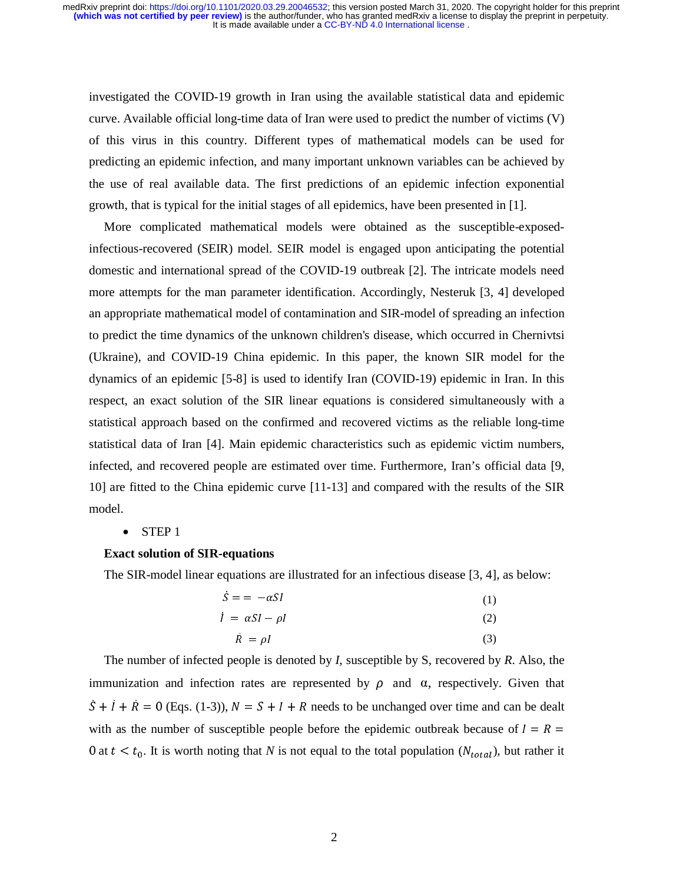investigated the COVID-19 growth in Iran using the available statistical data and epidemic curve. Available official long-time data of Iran were used to predict the number of victims (V) of this virus in this country. Different types of mathematical models can be used for predicting an epidemic infection, and many important unknown variables can be achieved by the use of real available data. The first predictions of an epidemic infection exponential growth, that is typical for the initial stages of all epidemics, have been presented in [1].

More complicated mathematical models were obtained as the susceptible-exposedinfectious-recovered (SEIR) model. SEIR model is engaged upon anticipating the potential domestic and international spread of the COVID-19 outbreak [2]. The intricate models need more attempts for the man parameter identification. Accordingly, Nesteruk [3, 4] developed an appropriate mathematical model of contamination and SIR-model of spreading an infection to predict the time dynamics of the unknown children's disease, which occurred in Chernivtsi (Ukraine), and COVID-19 China epidemic. In this paper, the known SIR model for the dynamics of an epidemic [5-8] is used to identify Iran (COVID-19) epidemic in Iran. In this respect, an exact solution of the SIR linear equations is considered simultaneously with a statistical approach based on the confirmed and recovered victims as the reliable long-time statistical data of Iran [4]. Main epidemic characteristics such as epidemic victim numbers, infected, and recovered people are estimated over time. Furthermore, Iran's official data [9, 10] are fitted to the China epidemic curve [11-13] and compared with the results of the SIR model.

#### • STEP 1

#### **Exact solution of SIR-equations**

The SIR-model linear equations are illustrated for an infectious disease [3, 4], as below:

| $S = -\alpha SI$                | (1) |
|---------------------------------|-----|
| $\dot{I} = \alpha S I - \rho I$ | (2) |
| $R = \rho I$                    | (3) |

The number of infected people is denoted by *I*, susceptible by S, recovered by *R*. Also, the immunization and infection rates are represented by  $ρ$  and  $α$ , respectively. Given that  $S + \hat{I} + \hat{R} = 0$  (Eqs. (1-3)),  $N = S + I + R$  needs to be unchanged over time and can be dealt with as the number of susceptible people before the epidemic outbreak because of  $I = R =$ 0 at  $t < t_0$ . It is worth noting that *N* is not equal to the total population ( $N_{total}$ ), but rather it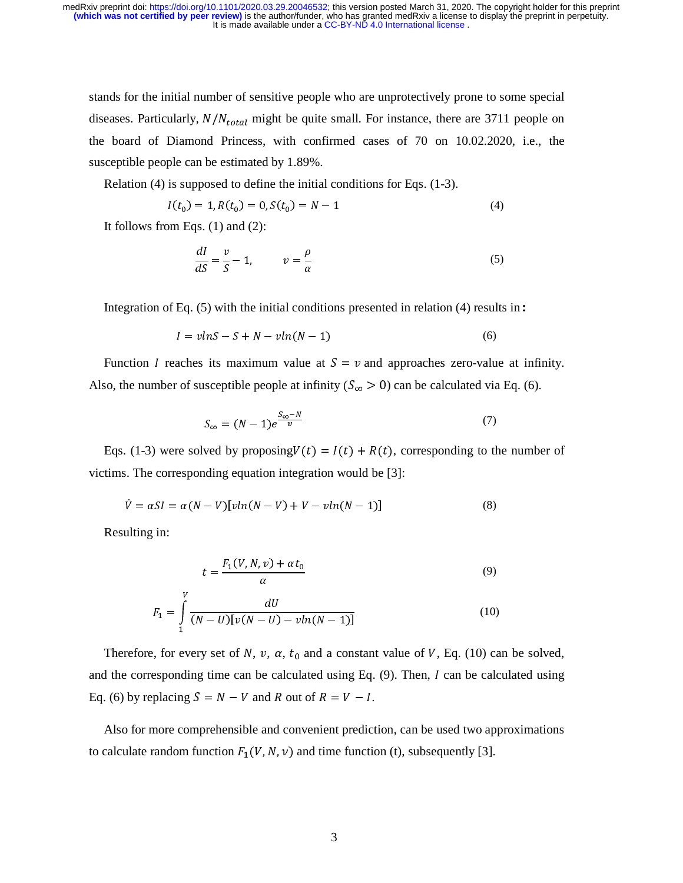stands for the initial number of sensitive people who are unprotectively prone to some special diseases. Particularly,  $N/N_{total}$  might be quite small. For instance, there are 3711 people on the board of Diamond Princess, with confirmed cases of 70 on 10.02.2020, i.e., the susceptible people can be estimated by 1.89%.

Relation (4) is supposed to define the initial conditions for Eqs. (1-3).

$$
I(t_0) = 1, R(t_0) = 0, S(t_0) = N - 1
$$
\n<sup>(4)</sup>

It follows from Eqs. (1) and (2):

$$
\frac{dI}{dS} = \frac{v}{S} - 1, \qquad v = \frac{\rho}{\alpha} \tag{5}
$$

Integration of Eq. (5) with the initial conditions presented in relation (4) results in:

$$
I = v \ln S - S + N - v \ln(N - 1) \tag{6}
$$

Function *I* reaches its maximum value at  $S = v$  and approaches zero-value at infinity. Also, the number of susceptible people at infinity  $(S_{\infty} > 0)$  can be calculated via Eq. (6).

$$
S_{\infty} = (N-1)e^{\frac{S_{\infty} - N}{v}} \tag{7}
$$

Eqs. (1-3) were solved by proposing  $V(t) = I(t) + R(t)$ , corresponding to the number of victims. The corresponding equation integration would be [3]:

$$
\dot{V} = \alpha SI = \alpha (N - V) [v \ln(N - V) + V - v \ln(N - 1)] \tag{8}
$$

Resulting in:

$$
t = \frac{F_1(V, N, v) + \alpha t_0}{\alpha} \tag{9}
$$

$$
F_1 = \int_{1}^{V} \frac{dU}{(N-U)[v(N-U) - vln(N-1)]}
$$
(10)

Therefore, for every set of N, v,  $\alpha$ ,  $t_0$  and a constant value of V, Eq. (10) can be solved, and the corresponding time can be calculated using Eq.  $(9)$ . Then, I can be calculated using Eq. (6) by replacing  $S = N - V$  and R out of  $R = V - I$ .

Also for more comprehensible and convenient prediction, can be used two approximations to calculate random function  $F_1(V, N, v)$  and time function (t), subsequently [3].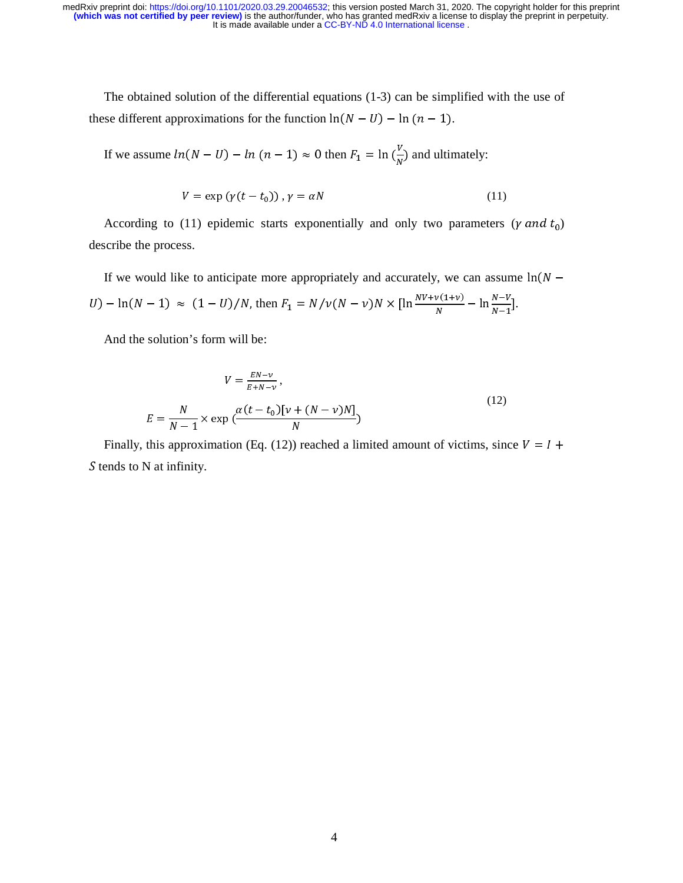The obtained solution of the differential equations (1-3) can be simplified with the use of these different approximations for the function  $ln(N - U) - ln (n - 1)$ .

If we assume  $ln(N - U) - ln (n - 1) \approx 0$  then  $F_1 = ln \left(\frac{V}{N}\right)$  and ultimately:

$$
V = \exp(\gamma(t - t_0)), \gamma = \alpha N \tag{11}
$$

According to (11) epidemic starts exponentially and only two parameters ( $\gamma$  and  $t_0$ ) describe the process.

If we would like to anticipate more appropriately and accurately, we can assume  $ln(N U$ ) – ln(N – 1)  $\approx (1 - U)/N$ , then  $F_1 = N/\nu(N - \nu)N \times \left[\ln \frac{N\nu + \nu(1 + \nu)}{N}\right]$  $\frac{N(N+1)}{N} - \ln \frac{N-1}{N-1}.$ 

And the solution's form will be:

$$
V = \frac{EN - \nu}{E + N - \nu},
$$
  
\n
$$
E = \frac{N}{N - 1} \times \exp\left(\frac{\alpha (t - t_0)[\nu + (N - \nu)N]}{N}\right)
$$
\n(12)

Finally, this approximation (Eq. (12)) reached a limited amount of victims, since  $V = I +$  $S$  tends to N at infinity.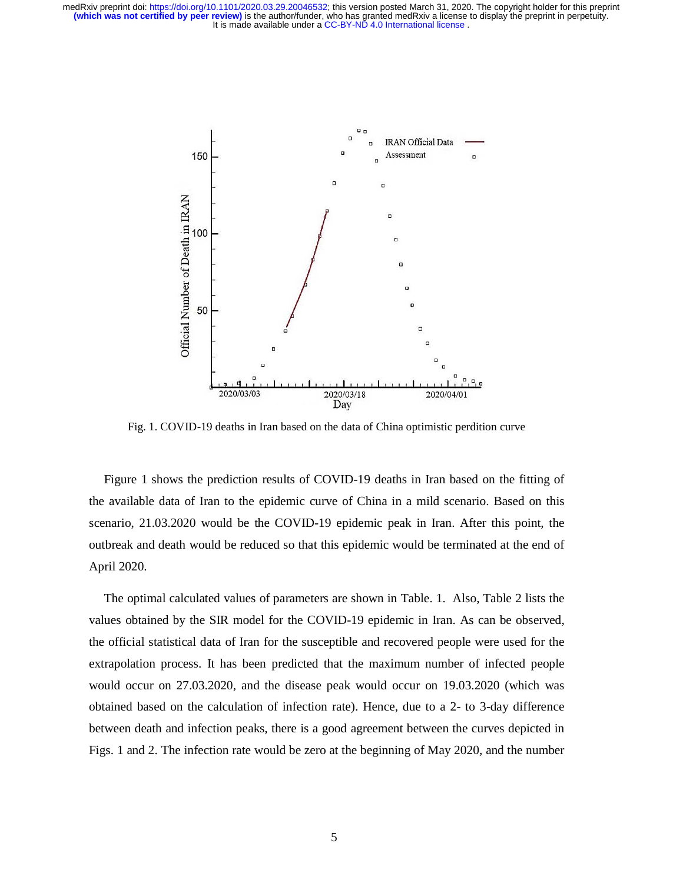

Fig. 1. COVID-19 deaths in Iran based on the data of China optimistic perdition curve

Figure 1 shows the prediction results of COVID-19 deaths in Iran based on the fitting of the available data of Iran to the epidemic curve of China in a mild scenario. Based on this scenario, 21.03.2020 would be the COVID-19 epidemic peak in Iran. After this point, the outbreak and death would be reduced so that this epidemic would be terminated at the end of April 2020.

The optimal calculated values of parameters are shown in Table. 1. Also, Table 2 lists the values obtained by the SIR model for the COVID-19 epidemic in Iran. As can be observed, the official statistical data of Iran for the susceptible and recovered people were used for the extrapolation process. It has been predicted that the maximum number of infected people would occur on 27.03.2020, and the disease peak would occur on 19.03.2020 (which was obtained based on the calculation of infection rate). Hence, due to a 2- to 3-day difference between death and infection peaks, there is a good agreement between the curves depicted in Figs. 1 and 2. The infection rate would be zero at the beginning of May 2020, and the number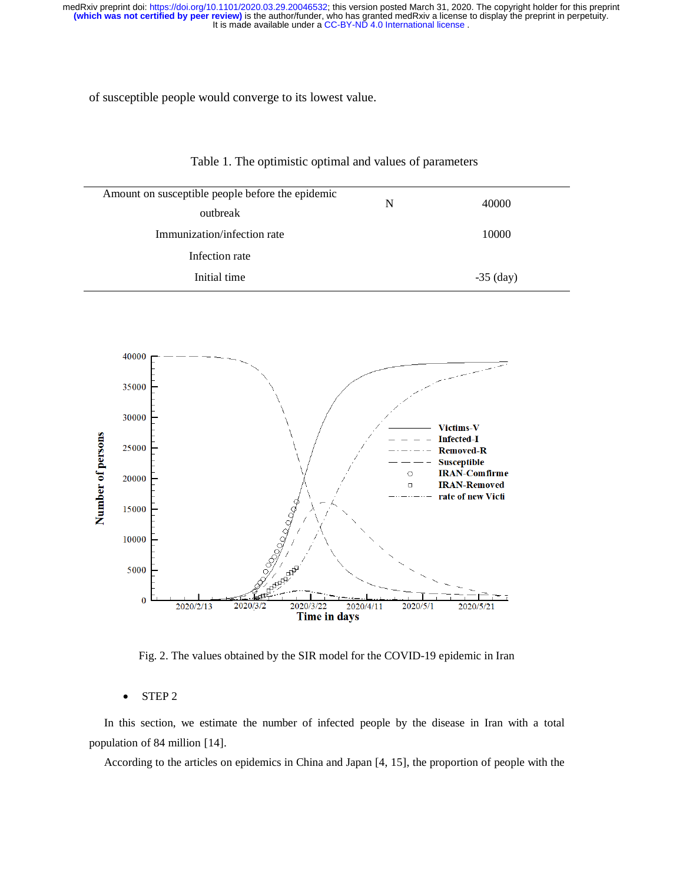of susceptible people would converge to its lowest value.

| Amount on susceptible people before the epidemic | 40000<br>N |             |
|--------------------------------------------------|------------|-------------|
| outbreak                                         |            |             |
| Immunization/infection rate                      |            | 10000       |
| Infection rate                                   |            |             |
| Initial time                                     |            | $-35$ (day) |
|                                                  |            |             |





Fig. 2. The values obtained by the SIR model for the COVID-19 epidemic in Iran

#### • STEP 2

In this section, we estimate the number of infected people by the disease in Iran with a total population of 84 million [14].

According to the articles on epidemics in China and Japan [4, 15], the proportion of people with the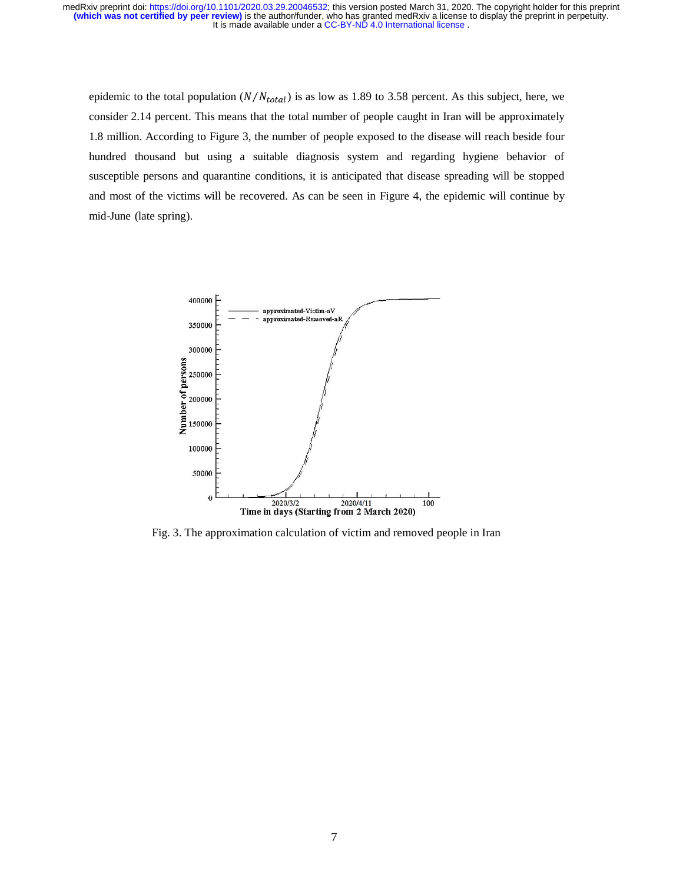epidemic to the total population  $(N/N_{total})$  is as low as 1.89 to 3.58 percent. As this subject, here, we consider 2.14 percent. This means that the total number of people caught in Iran will be approximately 1.8 million. According to Figure 3, the number of people exposed to the disease will reach beside four hundred thousand but using a suitable diagnosis system and regarding hygiene behavior of susceptible persons and quarantine conditions, it is anticipated that disease spreading will be stopped and most of the victims will be recovered. As can be seen in Figure 4, the epidemic will continue by mid-June (late spring).



Fig. 3. The approximation calculation of victim and removed people in Iran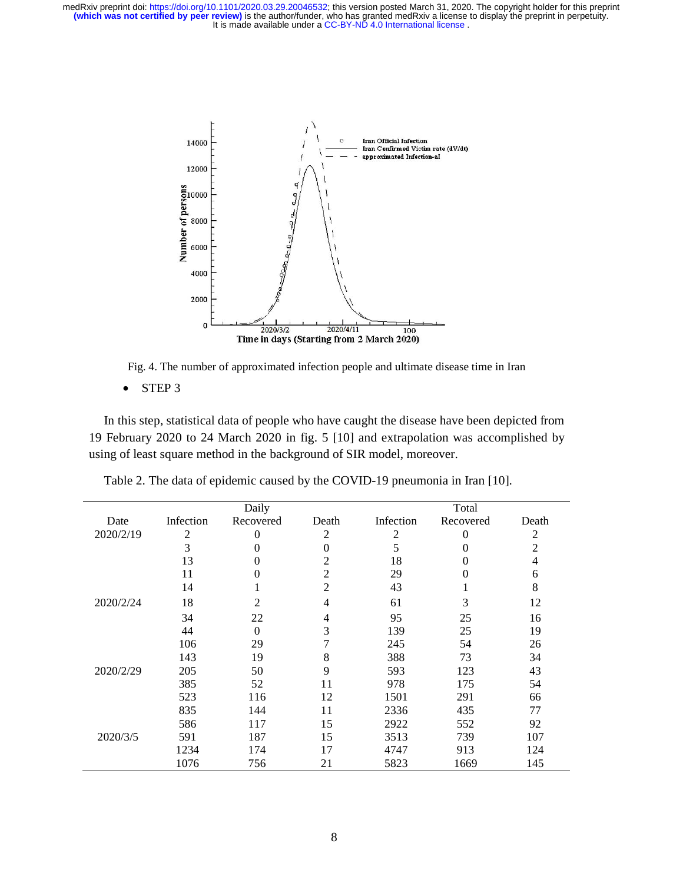

Fig. 4. The number of approximated infection people and ultimate disease time in Iran

• STEP 3

In this step, statistical data of people who have caught the disease have been depicted from 19 February 2020 to 24 March 2020 in fig. 5 [10] and extrapolation was accomplished by using of least square method in the background of SIR model, moreover.

|           |           | Daily            |                |           | Total     |                |
|-----------|-----------|------------------|----------------|-----------|-----------|----------------|
| Date      | Infection | Recovered        | Death          | Infection | Recovered | Death          |
| 2020/2/19 | 2         | $\theta$         | 2              | 2         | $\Omega$  | 2              |
|           | 3         | $\theta$         | 0              | 5         | 0         | $\overline{c}$ |
|           | 13        | $\overline{0}$   | 2              | 18        | 0         | 4              |
|           | 11        | $\boldsymbol{0}$ | 2              | 29        | $\Omega$  | 6              |
|           | 14        | 1                | $\overline{2}$ | 43        | 1         | 8              |
| 2020/2/24 | 18        | $\overline{2}$   | 4              | 61        | 3         | 12             |
|           | 34        | 22               | 4              | 95        | 25        | 16             |
|           | 44        | $\theta$         | 3              | 139       | 25        | 19             |
|           | 106       | 29               | 7              | 245       | 54        | 26             |
|           | 143       | 19               | 8              | 388       | 73        | 34             |
| 2020/2/29 | 205       | 50               | 9              | 593       | 123       | 43             |
|           | 385       | 52               | 11             | 978       | 175       | 54             |
|           | 523       | 116              | 12             | 1501      | 291       | 66             |
|           | 835       | 144              | 11             | 2336      | 435       | 77             |
|           | 586       | 117              | 15             | 2922      | 552       | 92             |
| 2020/3/5  | 591       | 187              | 15             | 3513      | 739       | 107            |
|           | 1234      | 174              | 17             | 4747      | 913       | 124            |
|           | 1076      | 756              | 21             | 5823      | 1669      | 145            |

Table 2. The data of epidemic caused by the COVID-19 pneumonia in Iran [10].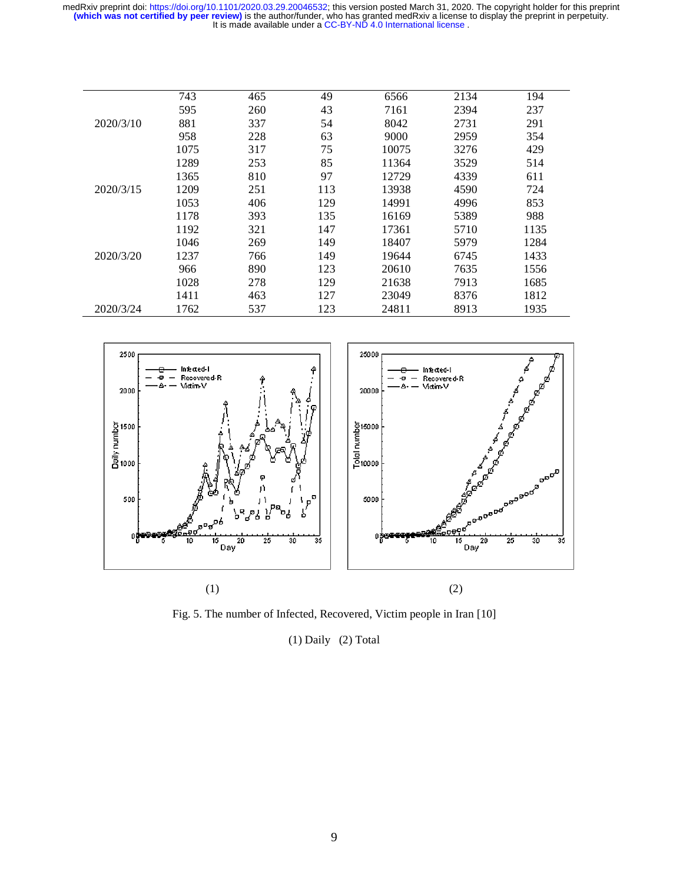|           | 743  | 465 | 49  | 6566  | 2134 | 194  |
|-----------|------|-----|-----|-------|------|------|
|           | 595  | 260 | 43  | 7161  | 2394 | 237  |
| 2020/3/10 | 881  | 337 | 54  | 8042  | 2731 | 291  |
|           | 958  | 228 | 63  | 9000  | 2959 | 354  |
|           | 1075 | 317 | 75  | 10075 | 3276 | 429  |
|           | 1289 | 253 | 85  | 11364 | 3529 | 514  |
|           | 1365 | 810 | 97  | 12729 | 4339 | 611  |
| 2020/3/15 | 1209 | 251 | 113 | 13938 | 4590 | 724  |
|           | 1053 | 406 | 129 | 14991 | 4996 | 853  |
|           | 1178 | 393 | 135 | 16169 | 5389 | 988  |
|           | 1192 | 321 | 147 | 17361 | 5710 | 1135 |
|           | 1046 | 269 | 149 | 18407 | 5979 | 1284 |
| 2020/3/20 | 1237 | 766 | 149 | 19644 | 6745 | 1433 |
|           | 966  | 890 | 123 | 20610 | 7635 | 1556 |
|           | 1028 | 278 | 129 | 21638 | 7913 | 1685 |
|           | 1411 | 463 | 127 | 23049 | 8376 | 1812 |
| 2020/3/24 | 1762 | 537 | 123 | 24811 | 8913 | 1935 |
|           |      |     |     |       |      |      |



Fig. 5. The number of Infected, Recovered, Victim people in Iran [10]

(1) Daily (2) Total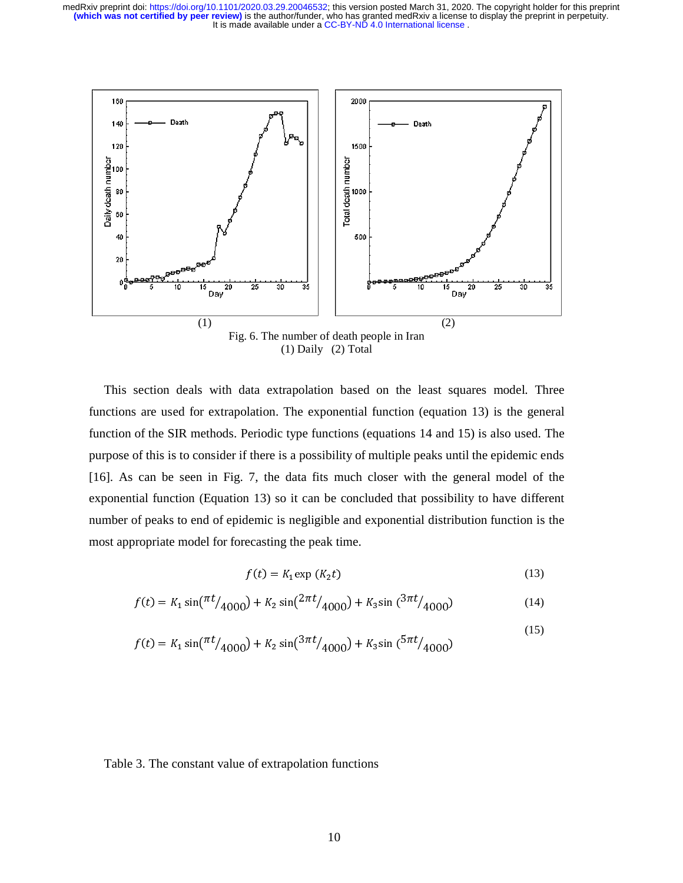

(1) Daily (2) Total

This section deals with data extrapolation based on the least squares model. Three functions are used for extrapolation. The exponential function (equation 13) is the general function of the SIR methods. Periodic type functions (equations 14 and 15) is also used. The purpose of this is to consider if there is a possibility of multiple peaks until the epidemic ends [16]. As can be seen in Fig. 7, the data fits much closer with the general model of the exponential function (Equation 13) so it can be concluded that possibility to have different number of peaks to end of epidemic is negligible and exponential distribution function is the most appropriate model for forecasting the peak time.

$$
f(t) = K_1 \exp\left(K_2 t\right) \tag{13}
$$

$$
f(t) = K_1 \sin(\frac{\pi t}{4000}) + K_2 \sin(\frac{2\pi t}{4000}) + K_3 \sin(\frac{3\pi t}{4000})
$$
 (14)

$$
f(t) = K_1 \sin(\frac{\pi t}{4000}) + K_2 \sin(\frac{3\pi t}{4000}) + K_3 \sin(\frac{5\pi t}{4000})
$$
\n(15)

#### Table 3. The constant value of extrapolation functions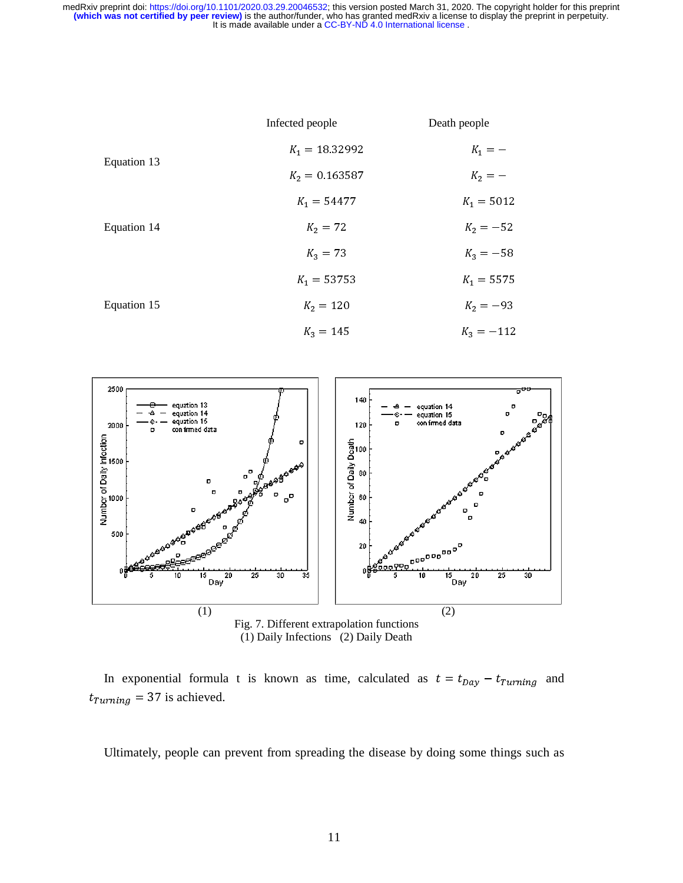



In exponential formula t is known as time, calculated as  $t = t_{Day} - t_{Turning}$  and  $t_{Turning} = 37$  is achieved.

Ultimately, people can prevent from spreading the disease by doing some things such as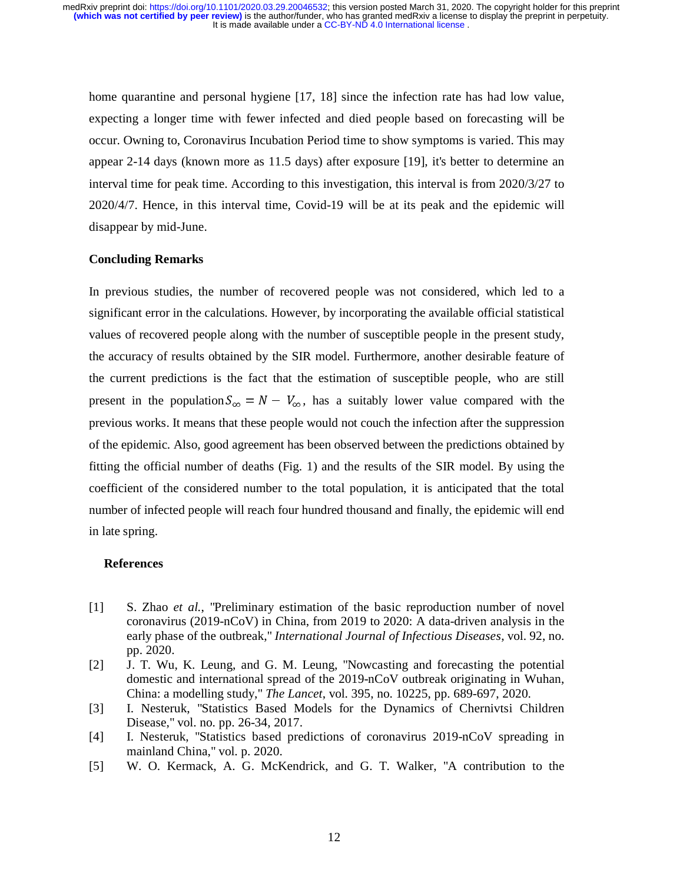home quarantine and personal hygiene [17, 18] since the infection rate has had low value, expecting a longer time with fewer infected and died people based on forecasting will be occur. Owning to, Coronavirus Incubation Period time to show symptoms is varied. This may appear 2-14 days (known more as 11.5 days) after exposure [19], it's better to determine an interval time for peak time. According to this investigation, this interval is from 2020/3/27 to 2020/4/7. Hence, in this interval time, Covid-19 will be at its peak and the epidemic will disappear by mid-June.

#### **Concluding Remarks**

In previous studies, the number of recovered people was not considered, which led to a significant error in the calculations. However, by incorporating the available official statistical values of recovered people along with the number of susceptible people in the present study, the accuracy of results obtained by the SIR model. Furthermore, another desirable feature of the current predictions is the fact that the estimation of susceptible people, who are still present in the population  $S_{\infty} = N - V_{\infty}$ , has a suitably lower value compared with the previous works. It means that these people would not couch the infection after the suppression of the epidemic. Also, good agreement has been observed between the predictions obtained by fitting the official number of deaths (Fig. 1) and the results of the SIR model. By using the coefficient of the considered number to the total population, it is anticipated that the total number of infected people will reach four hundred thousand and finally, the epidemic will end in late spring.

#### **References**

- [1] S. Zhao *et al.*, "Preliminary estimation of the basic reproduction number of novel coronavirus (2019-nCoV) in China, from 2019 to 2020: A data-driven analysis in the early phase of the outbreak," *International Journal of Infectious Diseases*, vol. 92, no. pp. 2020.
- [2] J. T. Wu, K. Leung, and G. M. Leung, "Nowcasting and forecasting the potential domestic and international spread of the 2019-nCoV outbreak originating in Wuhan, China: a modelling study," *The Lancet*, vol. 395, no. 10225, pp. 689-697, 2020.
- [3] I. Nesteruk, "Statistics Based Models for the Dynamics of Chernivtsi Children Disease," vol. no. pp. 26-34, 2017.
- [4] I. Nesteruk, "Statistics based predictions of coronavirus 2019-nCoV spreading in mainland China," vol. p. 2020.
- [5] W. O. Kermack, A. G. McKendrick, and G. T. Walker, "A contribution to the